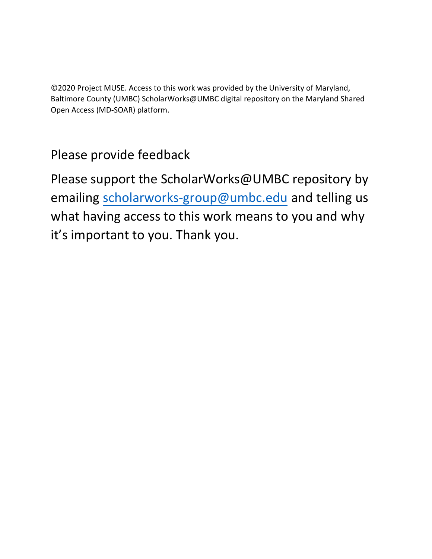©2020 Project MUSE. Access to this work was provided by the University of Maryland, Baltimore County (UMBC) ScholarWorks@UMBC digital repository on the Maryland Shared Open Access (MD-SOAR) platform.

## Please provide feedback

Please support the ScholarWorks@UMBC repository by emailin[g scholarworks-group@umbc.edu](mailto:scholarworks-group@umbc.edu) and telling us what having access to this work means to you and why it's important to you. Thank you.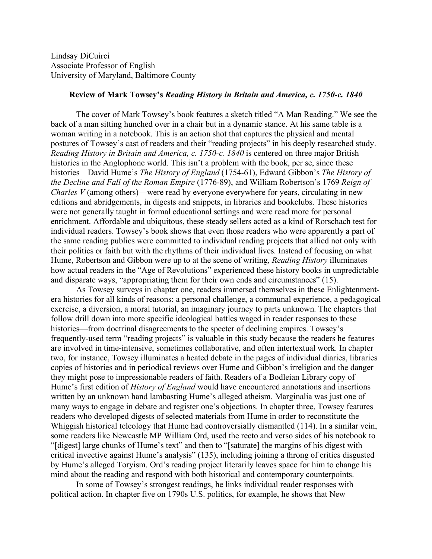Lindsay DiCuirci Associate Professor of English University of Maryland, Baltimore County

## **Review of Mark Towsey's** *Reading History in Britain and America, c. 1750-c. 1840*

The cover of Mark Towsey's book features a sketch titled "A Man Reading." We see the back of a man sitting hunched over in a chair but in a dynamic stance. At his same table is a woman writing in a notebook. This is an action shot that captures the physical and mental postures of Towsey's cast of readers and their "reading projects" in his deeply researched study. *Reading History in Britain and America, c. 1750-c. 1840* is centered on three major British histories in the Anglophone world. This isn't a problem with the book, per se, since these histories—David Hume's *The History of England* (1754-61), Edward Gibbon's *The History of the Decline and Fall of the Roman Empire* (1776-89), and William Robertson's 1769 *Reign of Charles V* (among others)—were read by everyone everywhere for years, circulating in new editions and abridgements, in digests and snippets, in libraries and bookclubs. These histories were not generally taught in formal educational settings and were read more for personal enrichment. Affordable and ubiquitous, these steady sellers acted as a kind of Rorschach test for individual readers. Towsey's book shows that even those readers who were apparently a part of the same reading publics were committed to individual reading projects that allied not only with their politics or faith but with the rhythms of their individual lives. Instead of focusing on what Hume, Robertson and Gibbon were up to at the scene of writing, *Reading History* illuminates how actual readers in the "Age of Revolutions" experienced these history books in unpredictable and disparate ways, "appropriating them for their own ends and circumstances" (15).

As Towsey surveys in chapter one, readers immersed themselves in these Enlightenmentera histories for all kinds of reasons: a personal challenge, a communal experience, a pedagogical exercise, a diversion, a moral tutorial, an imaginary journey to parts unknown. The chapters that follow drill down into more specific ideological battles waged in reader responses to these histories—from doctrinal disagreements to the specter of declining empires. Towsey's frequently-used term "reading projects" is valuable in this study because the readers he features are involved in time-intensive, sometimes collaborative, and often intertextual work. In chapter two, for instance, Towsey illuminates a heated debate in the pages of individual diaries, libraries copies of histories and in periodical reviews over Hume and Gibbon's irreligion and the danger they might pose to impressionable readers of faith. Readers of a Bodleian Library copy of Hume's first edition of *History of England* would have encountered annotations and insertions written by an unknown hand lambasting Hume's alleged atheism. Marginalia was just one of many ways to engage in debate and register one's objections. In chapter three, Towsey features readers who developed digests of selected materials from Hume in order to reconstitute the Whiggish historical teleology that Hume had controversially dismantled (114). In a similar vein, some readers like Newcastle MP William Ord, used the recto and verso sides of his notebook to "[digest] large chunks of Hume's text" and then to "[saturate] the margins of his digest with critical invective against Hume's analysis" (135), including joining a throng of critics disgusted by Hume's alleged Toryism. Ord's reading project literarily leaves space for him to change his mind about the reading and respond with both historical and contemporary counterpoints.

In some of Towsey's strongest readings, he links individual reader responses with political action. In chapter five on 1790s U.S. politics, for example, he shows that New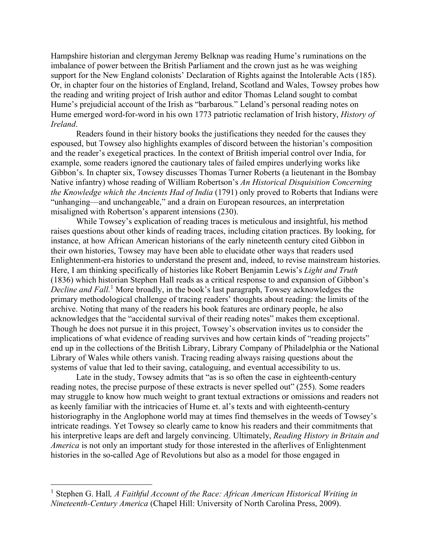Hampshire historian and clergyman Jeremy Belknap was reading Hume's ruminations on the imbalance of power between the British Parliament and the crown just as he was weighing support for the New England colonists' Declaration of Rights against the Intolerable Acts (185). Or, in chapter four on the histories of England, Ireland, Scotland and Wales, Towsey probes how the reading and writing project of Irish author and editor Thomas Leland sought to combat Hume's prejudicial account of the Irish as "barbarous." Leland's personal reading notes on Hume emerged word-for-word in his own 1773 patriotic reclamation of Irish history, *History of Ireland*.

Readers found in their history books the justifications they needed for the causes they espoused, but Towsey also highlights examples of discord between the historian's composition and the reader's exegetical practices. In the context of British imperial control over India, for example, some readers ignored the cautionary tales of failed empires underlying works like Gibbon's. In chapter six, Towsey discusses Thomas Turner Roberts (a lieutenant in the Bombay Native infantry) whose reading of William Robertson's *An Historical Disquisition Concerning the Knowledge which the Ancients Had of India* (1791) only proved to Roberts that Indians were "unhanging—and unchangeable," and a drain on European resources, an interpretation misaligned with Robertson's apparent intensions (230).

While Towsey's explication of reading traces is meticulous and insightful, his method raises questions about other kinds of reading traces, including citation practices. By looking, for instance, at how African American historians of the early nineteenth century cited Gibbon in their own histories, Towsey may have been able to elucidate other ways that readers used Enlightenment-era histories to understand the present and, indeed, to revise mainstream histories. Here, I am thinking specifically of histories like Robert Benjamin Lewis's *Light and Truth* (1836) which historian Stephen Hall reads as a critical response to and expansion of Gibbon's *Decline and Fall*. [1](#page-2-0) More broadly, in the book's last paragraph, Towsey acknowledges the primary methodological challenge of tracing readers' thoughts about reading: the limits of the archive. Noting that many of the readers his book features are ordinary people, he also acknowledges that the "accidental survival of their reading notes" makes them exceptional. Though he does not pursue it in this project, Towsey's observation invites us to consider the implications of what evidence of reading survives and how certain kinds of "reading projects" end up in the collections of the British Library, Library Company of Philadelphia or the National Library of Wales while others vanish. Tracing reading always raising questions about the systems of value that led to their saving, cataloguing, and eventual accessibility to us.

Late in the study, Towsey admits that "as is so often the case in eighteenth-century reading notes, the precise purpose of these extracts is never spelled out" (255). Some readers may struggle to know how much weight to grant textual extractions or omissions and readers not as keenly familiar with the intricacies of Hume et. al's texts and with eighteenth-century historiography in the Anglophone world may at times find themselves in the weeds of Towsey's intricate readings. Yet Towsey so clearly came to know his readers and their commitments that his interpretive leaps are deft and largely convincing. Ultimately, *Reading History in Britain and America* is not only an important study for those interested in the afterlives of Enlightenment histories in the so-called Age of Revolutions but also as a model for those engaged in

<span id="page-2-0"></span><sup>1</sup> Stephen G. Hall*, A Faithful Account of the Race: African American Historical Writing in Nineteenth-Century America* (Chapel Hill: University of North Carolina Press, 2009).